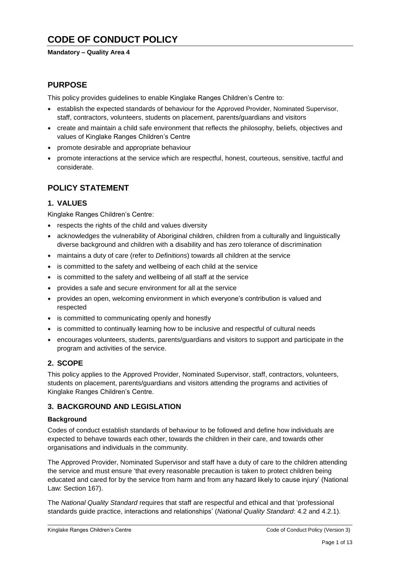# **CODE OF CONDUCT POLICY**

#### **Mandatory – Quality Area 4**

## **PURPOSE**

This policy provides guidelines to enable Kinglake Ranges Children's Centre to:

- establish the expected standards of behaviour for the Approved Provider, Nominated Supervisor, staff, contractors, volunteers, students on placement, parents/guardians and visitors
- create and maintain a child safe environment that reflects the philosophy, beliefs, objectives and values of Kinglake Ranges Children's Centre
- promote desirable and appropriate behaviour
- promote interactions at the service which are respectful, honest, courteous, sensitive, tactful and considerate.

## **POLICY STATEMENT**

## **1. VALUES**

Kinglake Ranges Children's Centre:

- respects the rights of the child and values diversity
- acknowledges the vulnerability of Aboriginal children, children from a culturally and linguistically diverse background and children with a disability and has zero tolerance of discrimination
- maintains a duty of care (refer to *Definitions*) towards all children at the service
- is committed to the safety and wellbeing of each child at the service
- is committed to the safety and wellbeing of all staff at the service
- provides a safe and secure environment for all at the service
- provides an open, welcoming environment in which everyone's contribution is valued and respected
- is committed to communicating openly and honestly
- is committed to continually learning how to be inclusive and respectful of cultural needs
- encourages volunteers, students, parents/guardians and visitors to support and participate in the program and activities of the service.

## **2. SCOPE**

This policy applies to the Approved Provider, Nominated Supervisor, staff, contractors, volunteers, students on placement, parents/guardians and visitors attending the programs and activities of Kinglake Ranges Children's Centre.

## **3. BACKGROUND AND LEGISLATION**

#### **Background**

Codes of conduct establish standards of behaviour to be followed and define how individuals are expected to behave towards each other, towards the children in their care, and towards other organisations and individuals in the community.

The Approved Provider, Nominated Supervisor and staff have a duty of care to the children attending the service and must ensure 'that every reasonable precaution is taken to protect children being educated and cared for by the service from harm and from any hazard likely to cause injury' (National Law: Section 167).

The *National Quality Standard* requires that staff are respectful and ethical and that 'professional standards guide practice, interactions and relationships' (*National Quality Standard*: 4.2 and 4.2.1).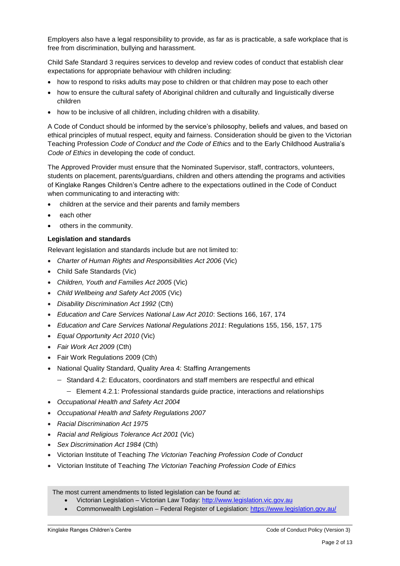Employers also have a legal responsibility to provide, as far as is practicable, a safe workplace that is free from discrimination, bullying and harassment.

Child Safe Standard 3 requires services to develop and review codes of conduct that establish clear expectations for appropriate behaviour with children including:

- how to respond to risks adults may pose to children or that children may pose to each other
- how to ensure the cultural safety of Aboriginal children and culturally and linguistically diverse children
- how to be inclusive of all children, including children with a disability.

A Code of Conduct should be informed by the service's philosophy, beliefs and values, and based on ethical principles of mutual respect, equity and fairness. Consideration should be given to the Victorian Teaching Profession *Code of Conduct and the Code of Ethics* and to the Early Childhood Australia's *Code of Ethics* in developing the code of conduct.

The Approved Provider must ensure that the Nominated Supervisor, staff, contractors, volunteers, students on placement, parents/guardians, children and others attending the programs and activities of Kinglake Ranges Children's Centre adhere to the expectations outlined in the Code of Conduct when communicating to and interacting with:

- children at the service and their parents and family members
- each other
- others in the community.

#### **Legislation and standards**

Relevant legislation and standards include but are not limited to:

- *[Charter of Human Rights and Responsibilities Act 2006](http://www.legislation.vic.gov.au/Domino/Web_Notes/LDMS/PubStatbook.nsf/f932b66241ecf1b7ca256e92000e23be/54d73763ef9dca36ca2571b6002428b0!OpenDocument)* (Vic)
- Child Safe Standards (Vic)
- *Children, Youth and Families Act 2005* (Vic)
- *Child Wellbeing and Safety Act 2005* (Vic)
- *Disability Discrimination Act 1992* (Cth)
- *Education and Care Services National Law Act 2010*: Sections 166, 167, 174
- *Education and Care Services National Regulations 2011*: Regulations 155, 156, 157, 175
- *Equal Opportunity Act 2010* (Vic)
- *Fair Work Act 2009* (Cth)
- Fair Work Regulations 2009 (Cth)
- National Quality Standard, Quality Area 4: Staffing Arrangements
	- Standard 4.2: Educators, coordinators and staff members are respectful and ethical
		- Element 4.2.1: Professional standards guide practice, interactions and relationships
- *Occupational Health and Safety Act 2004*
- *Occupational Health and Safety Regulations 2007*
- *Racial Discrimination Act 1975*
- *[Racial and Religious Tolerance Act 2001](http://www.legislation.vic.gov.au/Domino/Web_Notes/LDMS/PubLawToday.nsf/a12f6f60fbd56800ca256de500201e54/ab66aeef028f70e7ca2576400082797c%21OpenDocument)* (Vic)
- *Sex Discrimination Act 1984* (Cth)
- Victorian Institute of Teaching *The Victorian Teaching Profession Code of Conduct*
- Victorian Institute of Teaching *The Victorian Teaching Profession Code of Ethics*

The most current amendments to listed legislation can be found at:

- Victorian Legislation Victorian Law Today: [http://www.legislation.vic.gov.au](http://www.legislation.vic.gov.au/)
- Commonwealth Legislation Federal Register of Legislation[: https://www.legislation.gov.au/](https://www.legislation.gov.au/)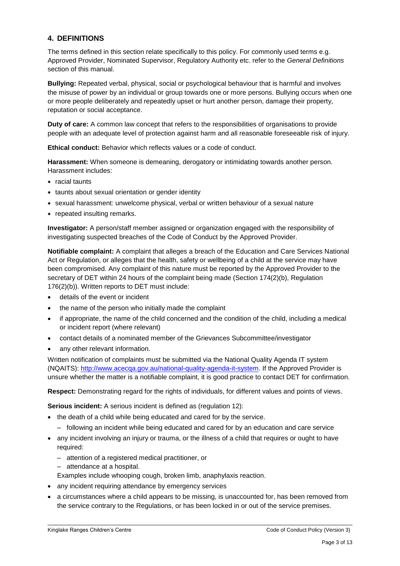## **4. DEFINITIONS**

The terms defined in this section relate specifically to this policy. For commonly used terms e.g. Approved Provider, Nominated Supervisor, Regulatory Authority etc. refer to the *General Definitions* section of this manual.

**Bullying:** Repeated verbal, physical, social or psychological behaviour that is harmful and involves the misuse of power by an individual or group towards one or more persons. Bullying occurs when one or more people deliberately and repeatedly upset or hurt another person, damage their property, reputation or social acceptance.

**Duty of care:** A common law concept that refers to the responsibilities of organisations to provide people with an adequate level of protection against harm and all reasonable foreseeable risk of injury.

**Ethical conduct:** Behavior which reflects values or a code of conduct.

**Harassment:** When someone is demeaning, derogatory or intimidating towards another person. Harassment includes:

- racial taunts
- taunts about sexual orientation or gender identity
- sexual harassment: unwelcome physical, verbal or written behaviour of a sexual nature
- repeated insulting remarks.

**Investigator:** A person/staff member assigned or organization engaged with the responsibility of investigating suspected breaches of the Code of Conduct by the Approved Provider.

**Notifiable complaint:** A complaint that alleges a breach of the Education and Care Services National Act or Regulation, or alleges that the health, safety or wellbeing of a child at the service may have been compromised. Any complaint of this nature must be reported by the Approved Provider to the secretary of DET within 24 hours of the complaint being made (Section 174(2)(b), Regulation 176(2)(b)). Written reports to DET must include:

- details of the event or incident
- the name of the person who initially made the complaint
- if appropriate, the name of the child concerned and the condition of the child, including a medical or incident report (where relevant)
- contact details of a nominated member of the Grievances Subcommittee/investigator
- any other relevant information.

Written notification of complaints must be submitted via the National Quality Agenda IT system (NQAITS): [http://www.acecqa.gov.au/national-quality-agenda-it-system.](http://www.acecqa.gov.au/national-quality-agenda-it-system) If the Approved Provider is unsure whether the matter is a notifiable complaint, it is good practice to contact DET for confirmation.

**Respect:** Demonstrating regard for the rights of individuals, for different values and points of views.

**Serious incident:** A serious incident is defined as (regulation 12):

- the death of a child while being educated and cared for by the service.
	- following an incident while being educated and cared for by an education and care service
- any incident involving an injury or trauma, or the illness of a child that requires or ought to have required:
	- attention of a registered medical practitioner, or
	- attendance at a hospital.

Examples include whooping cough, broken limb, anaphylaxis reaction.

- any incident requiring attendance by emergency services
- a circumstances where a child appears to be missing, is unaccounted for, has been removed from the service contrary to the Regulations, or has been locked in or out of the service premises.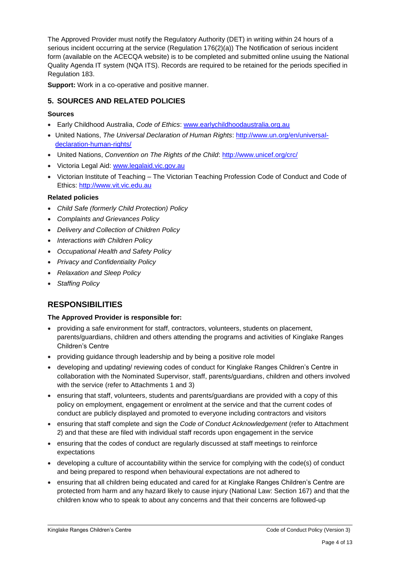The Approved Provider must notify the Regulatory Authority (DET) in writing within 24 hours of a serious incident occurring at the service (Regulation 176(2)(a)) The Notification of serious incident form (available on the ACECQA website) is to be completed and submitted online usuing the National Quality Agenda IT system (NQA ITS). Records are required to be retained for the periods specified in Regulation 183.

**Support:** Work in a co-operative and positive manner.

## **5. SOURCES AND RELATED POLICIES**

## **Sources**

- Early Childhood Australia, *Code of Ethics*: [www.earlychildhoodaustralia.org.au](http://www.earlychildhoodaustralia.org.au/)
- United Nations, *The Universal Declaration of Human Rights*: [http://www.un.org/en/universal](http://www.un.org/en/universal-declaration-human-rights/)[declaration-human-rights/](http://www.un.org/en/universal-declaration-human-rights/)
- United Nations, *Convention on The Rights of the Child*:<http://www.unicef.org/crc/>
- Victoria Legal Aid: [www.legalaid.vic.gov.au](http://www.legalaid.vic.gov.au/)
- Victorian Institute of Teaching The Victorian Teaching Profession Code of Conduct and Code of Ethics: [http://www.vit.vic.edu.au](http://www.vit.vic.edu.au/)

#### **Related policies**

- *Child Safe (formerly Child Protection) Policy*
- *Complaints and Grievances Policy*
- *Delivery and Collection of Children Policy*
- *Interactions with Children Policy*
- *Occupational Health and Safety Policy*
- *Privacy and Confidentiality Policy*
- *Relaxation and Sleep Policy*
- *Staffing Policy*

## **RESPONSIBILITIES**

#### **The Approved Provider is responsible for:**

- providing a safe environment for staff, contractors, volunteers, students on placement, parents/guardians, children and others attending the programs and activities of Kinglake Ranges Children's Centre
- providing guidance through leadership and by being a positive role model
- developing and updating/ reviewing codes of conduct for Kinglake Ranges Children's Centre in collaboration with the Nominated Supervisor, staff, parents/guardians, children and others involved with the service (refer to Attachments 1 and 3)
- ensuring that staff, volunteers, students and parents/guardians are provided with a copy of this policy on employment, engagement or enrolment at the service and that the current codes of conduct are publicly displayed and promoted to everyone including contractors and visitors
- ensuring that staff complete and sign the *Code of Conduct Acknowledgement* (refer to Attachment 2) and that these are filed with individual staff records upon engagement in the service
- ensuring that the codes of conduct are regularly discussed at staff meetings to reinforce expectations
- developing a culture of accountability within the service for complying with the code(s) of conduct and being prepared to respond when behavioural expectations are not adhered to
- ensuring that all children being educated and cared for at Kinglake Ranges Children's Centre are protected from harm and any hazard likely to cause injury (National Law: Section 167) and that the children know who to speak to about any concerns and that their concerns are followed-up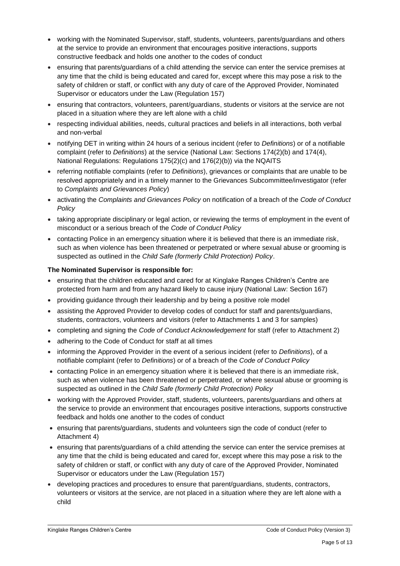- working with the Nominated Supervisor, staff, students, volunteers, parents/guardians and others at the service to provide an environment that encourages positive interactions, supports constructive feedback and holds one another to the codes of conduct
- ensuring that parents/guardians of a child attending the service can enter the service premises at any time that the child is being educated and cared for, except where this may pose a risk to the safety of children or staff, or conflict with any duty of care of the Approved Provider, Nominated Supervisor or educators under the Law (Regulation 157)
- ensuring that contractors, volunteers, parent/guardians, students or visitors at the service are not placed in a situation where they are left alone with a child
- respecting individual abilities, needs, cultural practices and beliefs in all interactions, both verbal and non-verbal
- notifying DET in writing within 24 hours of a serious incident (refer to *Definitions*) or of a notifiable complaint (refer to *Definitions*) at the service (National Law: Sections 174(2)(b) and 174(4), National Regulations: Regulations 175(2)(c) and 176(2)(b)) via the NQAITS
- referring notifiable complaints (refer to *Definitions*), grievances or complaints that are unable to be resolved appropriately and in a timely manner to the Grievances Subcommittee/investigator (refer to *Complaints and Grievances Policy*)
- activating the *Complaints and Grievances Policy* on notification of a breach of the *Code of Conduct Policy*
- taking appropriate disciplinary or legal action, or reviewing the terms of employment in the event of misconduct or a serious breach of the *Code of Conduct Policy*
- contacting Police in an emergency situation where it is believed that there is an immediate risk, such as when violence has been threatened or perpetrated or where sexual abuse or grooming is suspected as outlined in the *Child Safe (formerly Child Protection) Policy*.

## **The Nominated Supervisor is responsible for:**

- ensuring that the children educated and cared for at Kinglake Ranges Children's Centre are protected from harm and from any hazard likely to cause injury (National Law: Section 167)
- providing guidance through their leadership and by being a positive role model
- assisting the Approved Provider to develop codes of conduct for staff and parents/guardians, students, contractors, volunteers and visitors (refer to Attachments 1 and 3 for samples)
- completing and signing the *Code of Conduct Acknowledgement* for staff (refer to Attachment 2)
- adhering to the Code of Conduct for staff at all times
- informing the Approved Provider in the event of a serious incident (refer to *Definitions*), of a notifiable complaint (refer to *Definitions*) or of a breach of the *Code of Conduct Policy*
- contacting Police in an emergency situation where it is believed that there is an immediate risk, such as when violence has been threatened or perpetrated, or where sexual abuse or grooming is suspected as outlined in the *Child Safe (formerly Child Protection) Policy*
- working with the Approved Provider, staff, students, volunteers, parents/guardians and others at the service to provide an environment that encourages positive interactions, supports constructive feedback and holds one another to the codes of conduct
- ensuring that parents/guardians, students and volunteers sign the code of conduct (refer to Attachment 4)
- ensuring that parents/guardians of a child attending the service can enter the service premises at any time that the child is being educated and cared for, except where this may pose a risk to the safety of children or staff, or conflict with any duty of care of the Approved Provider, Nominated Supervisor or educators under the Law (Regulation 157)
- developing practices and procedures to ensure that parent/guardians, students, contractors, volunteers or visitors at the service, are not placed in a situation where they are left alone with a child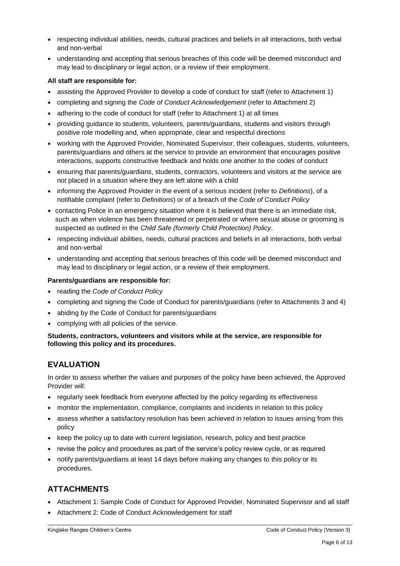- respecting individual abilities, needs, cultural practices and beliefs in all interactions, both verbal and non-verbal
- understanding and accepting that serious breaches of this code will be deemed misconduct and may lead to disciplinary or legal action, or a review of their employment.

#### **All staff are responsible for:**

- assisting the Approved Provider to develop a code of conduct for staff (refer to Attachment 1)
- completing and signing the *Code of Conduct Acknowledgement* (refer to Attachment 2)
- adhering to the code of conduct for staff (refer to Attachment 1) at all times
- providing guidance to students, volunteers, parents/guardians, students and visitors through positive role modelling and, when appropriate, clear and respectful directions
- working with the Approved Provider, Nominated Supervisor, their colleagues, students, volunteers, parents/guardians and others at the service to provide an environment that encourages positive interactions, supports constructive feedback and holds one another to the codes of conduct
- ensuring that parents/guardians, students, contractors, volunteers and visitors at the service are not placed in a situation where they are left alone with a child
- informing the Approved Provider in the event of a serious incident (refer to *Definitions*), of a notifiable complaint (refer to *Definitions*) or of a breach of the *Code of Conduct Policy*
- contacting Police in an emergency situation where it is believed that there is an immediate risk, such as when violence has been threatened or perpetrated or where sexual abuse or grooming is suspected as outlined in the *Child Safe (formerly Child Protection) Policy*.
- respecting individual abilities, needs, cultural practices and beliefs in all interactions, both verbal and non-verbal
- understanding and accepting that serious breaches of this code will be deemed misconduct and may lead to disciplinary or legal action, or a review of their employment.

#### **Parents/guardians are responsible for:**

- reading the *Code of Conduct Policy*
- completing and signing the Code of Conduct for parents/guardians (refer to Attachments 3 and 4)
- abiding by the Code of Conduct for parents/guardians
- complying with all policies of the service.

**Students, contractors, volunteers and visitors while at the service, are responsible for following this policy and its procedures.**

## **EVALUATION**

In order to assess whether the values and purposes of the policy have been achieved, the Approved Provider will:

- regularly seek feedback from everyone affected by the policy regarding its effectiveness
- monitor the implementation, compliance, complaints and incidents in relation to this policy
- assess whether a satisfactory resolution has been achieved in relation to issues arising from this policy
- keep the policy up to date with current legislation, research, policy and best practice
- revise the policy and procedures as part of the service's policy review cycle, or as required
- notify parents/guardians at least 14 days before making any changes to this policy or its procedures.

## **ATTACHMENTS**

- Attachment 1: Sample Code of Conduct for Approved Provider, Nominated Supervisor and all staff
- Attachment 2: Code of Conduct Acknowledgement for staff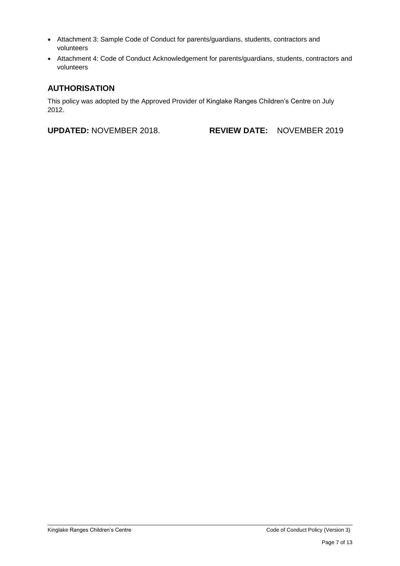- Attachment 3: Sample Code of Conduct for parents/guardians, students, contractors and volunteers
- Attachment 4: Code of Conduct Acknowledgement for parents/guardians, students, contractors and volunteers

## **AUTHORISATION**

This policy was adopted by the Approved Provider of Kinglake Ranges Children's Centre on July 2012.

**UPDATED:** NOVEMBER 2018. **REVIEW DATE:** NOVEMBER 2019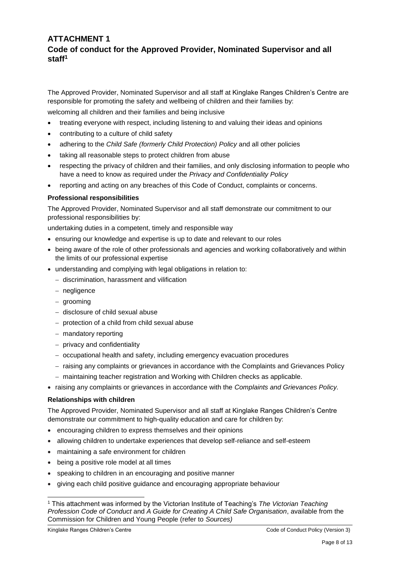## **ATTACHMENT 1 Code of conduct for the Approved Provider, Nominated Supervisor and all staff<sup>1</sup>**

The Approved Provider, Nominated Supervisor and all staff at Kinglake Ranges Children's Centre are responsible for promoting the safety and wellbeing of children and their families by:

welcoming all children and their families and being inclusive

- treating everyone with respect, including listening to and valuing their ideas and opinions
- contributing to a culture of child safety
- adhering to the *Child Safe (formerly Child Protection) Policy* and all other policies
- taking all reasonable steps to protect children from abuse
- respecting the privacy of children and their families, and only disclosing information to people who have a need to know as required under the *Privacy and Confidentiality Policy*
- reporting and acting on any breaches of this Code of Conduct, complaints or concerns.

## **Professional responsibilities**

The Approved Provider, Nominated Supervisor and all staff demonstrate our commitment to our professional responsibilities by:

undertaking duties in a competent, timely and responsible way

- ensuring our knowledge and expertise is up to date and relevant to our roles
- being aware of the role of other professionals and agencies and working collaboratively and within the limits of our professional expertise
- understanding and complying with legal obligations in relation to:
	- discrimination, harassment and vilification
	- negligence
	- grooming
	- disclosure of child sexual abuse
	- $-$  protection of a child from child sexual abuse
	- mandatory reporting
	- privacy and confidentiality
	- occupational health and safety, including emergency evacuation procedures
	- raising any complaints or grievances in accordance with the Complaints and Grievances Policy
	- maintaining teacher registration and Working with Children checks as applicable.
- raising any complaints or grievances in accordance with the *Complaints and Grievances Policy.*

## **Relationships with children**

The Approved Provider, Nominated Supervisor and all staff at Kinglake Ranges Children's Centre demonstrate our commitment to high-quality education and care for children by:

- encouraging children to express themselves and their opinions
- allowing children to undertake experiences that develop self-reliance and self-esteem
- maintaining a safe environment for children
- being a positive role model at all times
- speaking to children in an encouraging and positive manner
- giving each child positive guidance and encouraging appropriate behaviour

 $\overline{a}$ 

<sup>1</sup> This attachment was informed by the Victorian Institute of Teaching's *The Victorian Teaching Profession Code of Conduct* and *A Guide for Creating A Child Safe Organisation*, available from the Commission for Children and Young People (refer to *Sources)*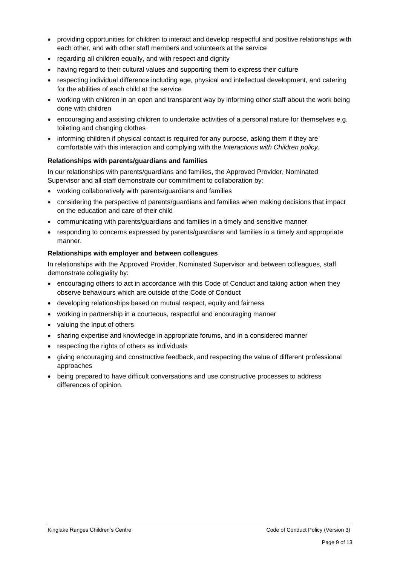- providing opportunities for children to interact and develop respectful and positive relationships with each other, and with other staff members and volunteers at the service
- regarding all children equally, and with respect and dignity
- having regard to their cultural values and supporting them to express their culture
- respecting individual difference including age, physical and intellectual development, and catering for the abilities of each child at the service
- working with children in an open and transparent way by informing other staff about the work being done with children
- encouraging and assisting children to undertake activities of a personal nature for themselves e.g. toileting and changing clothes
- informing children if physical contact is required for any purpose, asking them if they are comfortable with this interaction and complying with the *Interactions with Children policy*.

#### **Relationships with parents/guardians and families**

In our relationships with parents/guardians and families, the Approved Provider, Nominated Supervisor and all staff demonstrate our commitment to collaboration by:

- working collaboratively with parents/guardians and families
- considering the perspective of parents/guardians and families when making decisions that impact on the education and care of their child
- communicating with parents/guardians and families in a timely and sensitive manner
- responding to concerns expressed by parents/guardians and families in a timely and appropriate manner.

#### **Relationships with employer and between colleagues**

In relationships with the Approved Provider, Nominated Supervisor and between colleagues, staff demonstrate collegiality by:

- encouraging others to act in accordance with this Code of Conduct and taking action when they observe behaviours which are outside of the Code of Conduct
- developing relationships based on mutual respect, equity and fairness
- working in partnership in a courteous, respectful and encouraging manner
- valuing the input of others
- sharing expertise and knowledge in appropriate forums, and in a considered manner
- respecting the rights of others as individuals
- giving encouraging and constructive feedback, and respecting the value of different professional approaches
- being prepared to have difficult conversations and use constructive processes to address differences of opinion.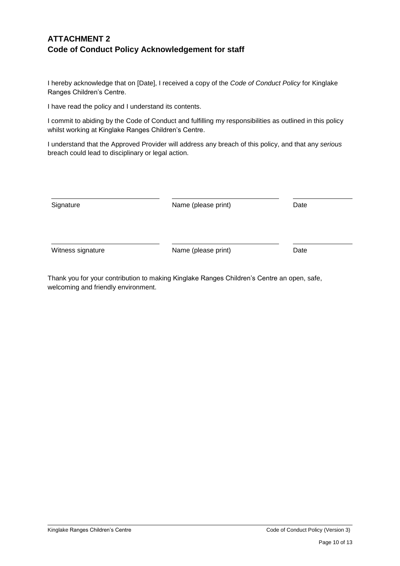## **ATTACHMENT 2 Code of Conduct Policy Acknowledgement for staff**

I hereby acknowledge that on [Date], I received a copy of the *Code of Conduct Policy* for Kinglake Ranges Children's Centre.

I have read the policy and I understand its contents.

I commit to abiding by the Code of Conduct and fulfilling my responsibilities as outlined in this policy whilst working at Kinglake Ranges Children's Centre.

I understand that the Approved Provider will address any breach of this policy, and that any *serious* breach could lead to disciplinary or legal action.

| Signature         | Name (please print) | Date |
|-------------------|---------------------|------|
| Witness signature | Name (please print) | Date |

Thank you for your contribution to making Kinglake Ranges Children's Centre an open, safe, welcoming and friendly environment.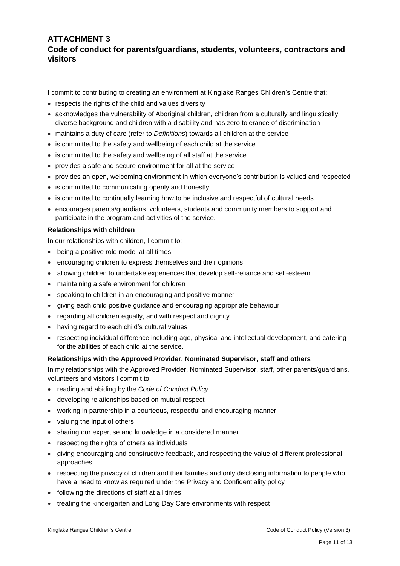## **ATTACHMENT 3 Code of conduct for parents/guardians, students, volunteers, contractors and visitors**

I commit to contributing to creating an environment at Kinglake Ranges Children's Centre that:

- respects the rights of the child and values diversity
- acknowledges the vulnerability of Aboriginal children, children from a culturally and linguistically diverse background and children with a disability and has zero tolerance of discrimination
- maintains a duty of care (refer to *Definitions*) towards all children at the service
- is committed to the safety and wellbeing of each child at the service
- is committed to the safety and wellbeing of all staff at the service
- provides a safe and secure environment for all at the service
- provides an open, welcoming environment in which everyone's contribution is valued and respected
- is committed to communicating openly and honestly
- is committed to continually learning how to be inclusive and respectful of cultural needs
- encourages parents/guardians, volunteers, students and community members to support and participate in the program and activities of the service.

#### **Relationships with children**

In our relationships with children, I commit to:

- being a positive role model at all times
- encouraging children to express themselves and their opinions
- allowing children to undertake experiences that develop self-reliance and self-esteem
- maintaining a safe environment for children
- speaking to children in an encouraging and positive manner
- giving each child positive guidance and encouraging appropriate behaviour
- regarding all children equally, and with respect and dignity
- having regard to each child's cultural values
- respecting individual difference including age, physical and intellectual development, and catering for the abilities of each child at the service.

#### **Relationships with the Approved Provider, Nominated Supervisor, staff and others**

In my relationships with the Approved Provider, Nominated Supervisor, staff, other parents/guardians, volunteers and visitors I commit to:

- reading and abiding by the *Code of Conduct Policy*
- developing relationships based on mutual respect
- working in partnership in a courteous, respectful and encouraging manner
- valuing the input of others
- sharing our expertise and knowledge in a considered manner
- respecting the rights of others as individuals
- giving encouraging and constructive feedback, and respecting the value of different professional approaches
- respecting the privacy of children and their families and only disclosing information to people who have a need to know as required under the Privacy and Confidentiality policy
- following the directions of staff at all times
- treating the kindergarten and Long Day Care environments with respect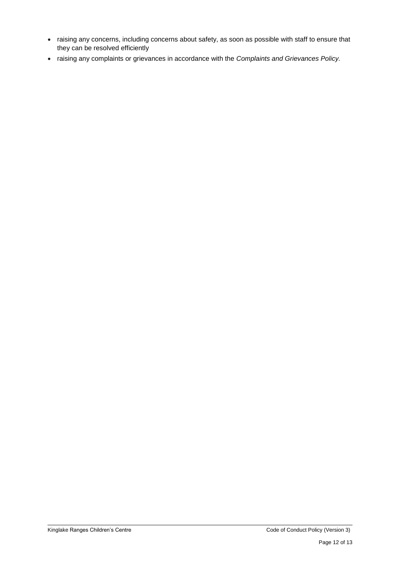- raising any concerns, including concerns about safety, as soon as possible with staff to ensure that they can be resolved efficiently
- raising any complaints or grievances in accordance with the *Complaints and Grievances Policy.*